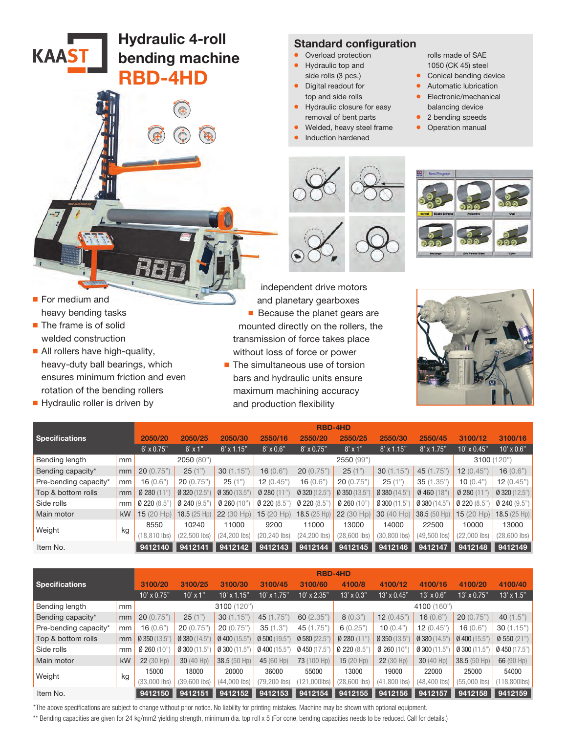Hydraulic 4-roll bending machine

 $\bigcirc$ 

RBD-4HD

## Standard configuration

- Overload protection
- Hydraulic top and side rolls (3 pcs.)
- Digital readout for top and side rolls
- Hydraulic closure for easy removal of bent parts
- Welded, heavy steel frame
- Induction hardened

rolls made of SAE 1050 (CK 45) steel

- Conical bending device
- Automatic lubrication
- Electronic/mechanical balancing device
- 2 bending speeds
- Operation manual
- 



■ For medium and heavy bending tasks

**KAAST** 

- The frame is of solid welded construction
- All rollers have high-quality, heavy-duty ball bearings, which ensures minimum friction and even rotation of the bending rollers
- Hydraulic roller is driven by

independent drive motors and planetary gearboxes ■ Because the planet gears are mounted directly on the rollers, the transmission of force takes place without loss of force or power

■ The simultaneous use of torsion bars and hydraulic units ensure maximum machining accuracy and production flexibility



| <b>Specifications</b> |    | <b>RBD-4HD</b>    |                |                  |                  |                   |                |                 |                |                 |                   |
|-----------------------|----|-------------------|----------------|------------------|------------------|-------------------|----------------|-----------------|----------------|-----------------|-------------------|
|                       |    | 2050/20           | 2050/25        | 2050/30          | 2550/16          | 2550/20           | 2550/25        | 2550/30         | 2550/45        | 3100/12         | 3100/16           |
|                       |    | $6' \times 0.75"$ | $6'$ x 1"      | $6'$ x 1.15"     | $8' \times 0.6"$ | $8' \times 0.75"$ | $8'$ x 1"      | $8'$ x 1.15"    | $8'$ x 1.75"   | $10'$ x $0.45"$ | $10' \times 0.6"$ |
| Bending length        | mm |                   | 2050 (80")     |                  |                  |                   | 2550 (99")     |                 |                | $3100(^{6}$     | (120")            |
| Bending capacity*     | mm | 20(0.75")         | 25(1")         | 30(1.15")        | 16(0.6"          | 20(0.75")         | 25(1")         | 30(1.15")       | 45 (1.75")     | 12(0.45")       | 16(0.6")          |
| Pre-bending capacity* | mm | 16(0.6"           | 20(0.75")      | 25(1")           | 12(0.45")        | 16(0.6"           | 20(0.75")      | 25(1")          | 35 (1.35")     | 10(0.4"         | 12(0.45")         |
| Top & bottom rolls    | mm | 0280(11)          | Ø 320 (12.5"   | Ø 350 (13.5"     | 0280(11)         | Ø 320 (12.5"      | Ø 350 (13.5"   | Ø 380 (14.5")   | 0460(18"       | 0280(11)        | $0$ 320 (12.5")   |
| Side rolls            | mm | 0220(8.5)         | 0240(9.5")     | 0260(10)         | 0220(8.5)        | 0220(8.5)         | 0260(10)       | $0$ 300 (11.5"  | 0380(14.5)     | 0220(8.5)       | $Q$ 240 (9.5")    |
| Main motor            | kW | 15(20 Hp)         | $18.5(25$ Hp)  | $(30$ Hp)<br>22( | $15(20$ Hp)      | $18.5(25$ Hp)     | 22 (30 Hp)     | 30 (40 Hp)      | 38.5 (50 Hp)   | 15(20 Hp)       | 18.5(25 Hp)       |
| Weight                | kg | 8550              | 10240          | 11000            | 9200             | 11000             | 13000          | 14000           | 22500          | 10000           | 13000             |
|                       |    | $(18.810$ lbs)    | $(22.500$ lbs) | (24.200 lbs)     | (20,240 lbs)     | $(24, 200$ lbs)   | $(28,600$ lbs) | $(30, 800$ lbs) | $(49.500$ lbs) | (22.000 lbs)    | $(28,600$ lbs)    |
| Item No.              |    | 9412140           | 9412141        | 9412142          | 9412143          | 9412144           | 9412145        | 9412146         | 9412147        | 9412148         | 9412149           |

|                       |    | <b>RBD-4HD</b> |                |                 |                 |                 |                   |                |                   |                    |                   |  |
|-----------------------|----|----------------|----------------|-----------------|-----------------|-----------------|-------------------|----------------|-------------------|--------------------|-------------------|--|
| <b>Specifications</b> |    | 3100/20        | 3100/25        | 3100/30         | 3100/45         | 3100/60         | 4100/8            | 4100/12        | 4100/16           | 4100/20            | 4100/40           |  |
|                       |    | $10'$ x 0.75"  | $10'$ x $1"$   | $10'$ x $1.15"$ | $10'$ x $1.75"$ | $10'$ x $2.35"$ | $13' \times 0.3"$ | 13' x 0.45"    | $13' \times 0.6"$ | $13' \times 0.75"$ | $13' \times 1.5"$ |  |
| Bending length        | mm |                |                | 3100 (120")     |                 |                 | 4100 (160")       |                |                   |                    |                   |  |
| Bending capacity*     | mm | 20(0.75")      | 25(1")         | 30(1.15")       | 45 (1.75")      | 60(2.35")       | 8(0.3")           | 12(0.45")      | 16(0.6")          | 20(0.75")          | 40 $(1.5")$       |  |
| Pre-bending capacity* | mm | 16 (0.6"       | 20(0.75")      | 20(0.75")       | 35(1.3")        | 45 (1.75")      | 6(0.25")          | 10(0.4"        | 12(0.45")         | 16(0.6")           | 30(1.15")         |  |
| Top & bottom rolls    | mm | 0350(13.5")    | 0380(14.5")    | Ø 400 (15.5")   | 0,500(19.5)     | 0580(22.5")     | 0280(11)          | $0$ 350 (13.5) | $0$ 380 (14.5)    | 0400(15.5"         | $Ø$ 550 (21")     |  |
| Side rolls            | mm | 0260(10)       | 0,300(11.5)    | 0,300(11.5")    | 0400(15.5)      | $Q$ 450 (17.5)  | 0220(8.5)         | 0260(10)       | $0$ 300 (11.5"    | $0$ 300 (11.5"     | $Q$ 450 (17.5")   |  |
| Main motor            | kW | 22(30 Hp)      | 30(40 Hp)      | 38.5 (50 Hp)    | 45 (60 Hp)      | 73 (100 Hp)     | $15(20$ Hp)       | 22(30 Hp)      | 30(40 Hp)         | 38.5(50 Hp)        | 66(90 Hp)         |  |
| Weight                |    | 15000          | 18000          | 20000           | 36000           | 55000           | 13000             | 19000          | 22000             | 25000              | 54000             |  |
|                       | kg | $(33,000$ lbs) | $(39,600$ lbs) | $(44,000$ lbs)  | (79,200 lbs)    | $(121,000$ lbs) | $(28,600$ lbs)    | $(41,800$ lbs) | $(48, 400$ lbs)   | $(55,000$ lbs)     | $(118, 800$ lbs)  |  |
| Item No.              |    | 9412150        | 9412151        | 9412152         | 9412153         | 9412154         | 9412155           | 9412156        | 9412157           | 9412158            | 9412159           |  |

\*The above specifications are subject to change without prior notice. No liability for printing mistakes. Machine may be shown with optional equipment.

\*\* Bending capacities are given for 24 kg/mm2 yielding strength, minimum dia. top roll x 5 (For cone, bending capacities needs to be reduced. Call for details.)